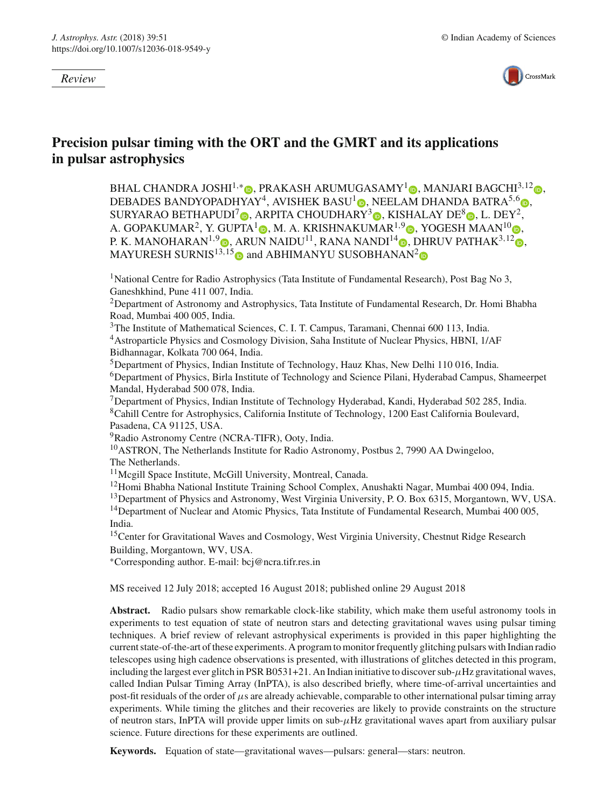*Review*



# **Precision pulsar timing with the ORT and the GMRT and its applications in pulsar astrophysics**

BHAL CHANDRA JOSHI<sup>1[,](http://orcid.org/0000-0001-8640-8186)\*</sup> D, PRAKASH ARUMUGASAMY<sup>1</sup> D, MANJARI BAGCHI<sup>3,12</sup> D, DEBADES BANDYOPADHYAY<sup>4</sup>, AVISHEK BASU<sup>[1](http://orcid.org/0000-0002-4142-7831)</sup> D[,](http://orcid.org/0000-0003-0266-0195) NEELAM DHANDA BATRA<sup>5,6</sup> D, SURYARAO BETHAPUDI<sup>7</sup> [,](http://orcid.org/0000-0002-8989-0542) ARPITA CHOUDHARY<sup>3</sup> , KISHALAY DE<sup>8</sup> , L. DEY<sup>2</sup>, A. GOPAKUMAR<sup>2</sup>[,](http://orcid.org/0000-0002-0862-6062) Y. GUPTA<sup>1</sup> , M. A. KRISHNAKUMAR<sup>1,9</sup> , YOGESH MAAN<sup>10</sup> , P. K. MANOHARAN<sup>1,[9](http://orcid.org/0000-0003-4274-211X)</sup> **D.** ARUN NAIDU<sup>11</sup>[,](http://orcid.org/0000-0001-8129-0473) RANA NANDI<sup>14</sup> **D.** DHRUV PATHAK<sup>3,12</sup> **D.** MAYURESH SURNIS<sup>13,1[5](http://orcid.org/0000-0002-9507-6985)</sup> and ABHIMANYU SUSOBHANAN<sup>[2](http://orcid.org/0000-0002-2820-0931)</sup>

<sup>1</sup>National Centre for Radio Astrophysics (Tata Institute of Fundamental Research), Post Bag No 3, Ganeshkhind, Pune 411 007, India.

2Department of Astronomy and Astrophysics, Tata Institute of Fundamental Research, Dr. Homi Bhabha Road, Mumbai 400 005, India.

3The Institute of Mathematical Sciences, C. I. T. Campus, Taramani, Chennai 600 113, India. 4Astroparticle Physics and Cosmology Division, Saha Institute of Nuclear Physics, HBNI, 1/AF Bidhannagar, Kolkata 700 064, India.

5Department of Physics, Indian Institute of Technology, Hauz Khas, New Delhi 110 016, India. 6Department of Physics, Birla Institute of Technology and Science Pilani, Hyderabad Campus, Shameerpet Mandal, Hyderabad 500 078, India.

7Department of Physics, Indian Institute of Technology Hyderabad, Kandi, Hyderabad 502 285, India. 8Cahill Centre for Astrophysics, California Institute of Technology, 1200 East California Boulevard, Pasadena, CA 91125, USA.

9Radio Astronomy Centre (NCRA-TIFR), Ooty, India.

<sup>10</sup>ASTRON, The Netherlands Institute for Radio Astronomy, Postbus 2, 7990 AA Dwingeloo, The Netherlands.

11Mcgill Space Institute, McGill University, Montreal, Canada.

<sup>12</sup>Homi Bhabha National Institute Training School Complex, Anushakti Nagar, Mumbai 400 094, India.

<sup>13</sup>Department of Physics and Astronomy, West Virginia University, P. O. Box 6315, Morgantown, WV, USA. <sup>14</sup>Department of Nuclear and Atomic Physics, Tata Institute of Fundamental Research, Mumbai 400 005, India.

<sup>15</sup>Center for Gravitational Waves and Cosmology, West Virginia University, Chestnut Ridge Research Building, Morgantown, WV, USA.

∗Corresponding author. E-mail: bcj@ncra.tifr.res.in

MS received 12 July 2018; accepted 16 August 2018; published online 29 August 2018

**Abstract.** Radio pulsars show remarkable clock-like stability, which make them useful astronomy tools in experiments to test equation of state of neutron stars and detecting gravitational waves using pulsar timing techniques. A brief review of relevant astrophysical experiments is provided in this paper highlighting the current state-of-the-art of these experiments. A program to monitor frequently glitching pulsars with Indian radio telescopes using high cadence observations is presented, with illustrations of glitches detected in this program, including the largest ever glitch in PSR B0531+21. An Indian initiative to discover sub- $\mu$ Hz gravitational waves, called Indian Pulsar Timing Array (InPTA), is also described briefly, where time-of-arrival uncertainties and post-fit residuals of the order of  $\mu$ s are already achievable, comparable to other international pulsar timing array experiments. While timing the glitches and their recoveries are likely to provide constraints on the structure of neutron stars, InPTA will provide upper limits on sub- $\mu$ Hz gravitational waves apart from auxiliary pulsar science. Future directions for these experiments are outlined.

**Keywords.** Equation of state—gravitational waves—pulsars: general—stars: neutron.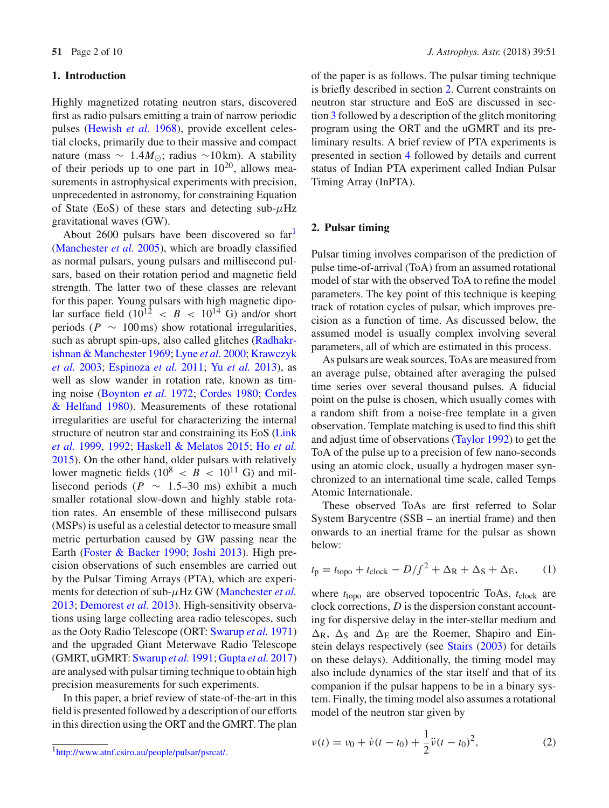#### **1. Introduction**

Highly magnetized rotating neutron stars, discovered first as radio pulsars emitting a train of narrow periodic pulses [\(Hewish](#page-8-0) *et al.* [1968](#page-8-0)), provide excellent celestial clocks, primarily due to their massive and compact nature (mass  $\sim 1.4 M_{\odot}$ ; radius ~10 km). A stability of their periods up to one part in  $10^{20}$ , allows measurements in astrophysical experiments with precision, unprecedented in astronomy, for constraining Equation of State (EoS) of these stars and detecting sub- $\mu$ Hz gravitational waves (GW).

About 2600 pulsars have been discovered so  $far<sup>1</sup>$ [\(Manchester](#page-8-1) *et al.* [2005](#page-8-1)), which are broadly classified as normal pulsars, young pulsars and millisecond pulsars, based on their rotation period and magnetic field strength. The latter two of these classes are relevant for this paper. Young pulsars with high magnetic dipolar surface field  $(10^{12} < B < 10^{14}$  G) and/or short periods ( $P \sim 100 \,\text{ms}$ ) show rotational irregularities, such as abrupt spin-[ups,](#page-8-2) [also](#page-8-2) [called](#page-8-2) [glitches](#page-8-2) [\(](#page-8-2)Radhakrishna[n](#page-8-4) [&](#page-8-4) [Manchester](#page-8-4) [1969](#page-8-2)[;](#page-8-4) [Lyne](#page-8-3) *et al.* [2000;](#page-8-3) Krawczyk *et al.* [2003;](#page-8-4) [Espinoza](#page-8-5) *et al.* [2011](#page-8-5); Yu *[et al.](#page-9-0)* [2013\)](#page-9-0), as well as slow wander in rotation rate, known as timing noise [\(Boynton](#page-8-6) *et al.* [1972](#page-8-6); [Cordes 1980;](#page-8-7) Cordes & Helfand [1980](#page-8-8)). Measurements of these rotational irregularities are useful for characterizing the internal struc[ture](#page-8-9) [of](#page-8-9) [neutron](#page-8-9) [star](#page-8-9) [and](#page-8-9) [constraining](#page-8-9) [its](#page-8-9) [EoS](#page-8-9) [\(](#page-8-9)Link *et al.* [1999](#page-8-9), [1992](#page-8-10); [Haskell & Melatos 2015;](#page-8-11) Ho *[et al.](#page-8-12)* [2015\)](#page-8-12). On the other hand, older pulsars with relatively lower magnetic fields  $(10^8 < B < 10^{11}$  G) and millisecond periods ( $P \sim 1.5-30$  ms) exhibit a much smaller rotational slow-down and highly stable rotation rates. An ensemble of these millisecond pulsars (MSPs) is useful as a celestial detector to measure small metric perturbation caused by GW passing near the Earth [\(Foster & Backer 1990;](#page-8-13) [Joshi 2013\)](#page-8-14). High precision observations of such ensembles are carried out by the Pulsar Timing Arrays (PTA), which are experiments for detection of sub-μHz GW [\(Manchester](#page-8-15) *et al.* [2013;](#page-8-15) [Demorest](#page-8-16) *et al.* [2013\)](#page-8-16). High-sensitivity observations using large collecting area radio telescopes, such as the Ooty Radio Telescope (ORT: [Swarup](#page-9-1) *et al.* [1971\)](#page-9-1) and the upgraded Giant Meterwave Radio Telescope (GMRT, uGMRT: [Swarup](#page-9-2) *et al.* [1991](#page-9-2); [Gupta](#page-8-17) *et al.* [2017\)](#page-8-17) are analysed with pulsar timing technique to obtain high precision measurements for such experiments.

In this paper, a brief review of state-of-the-art in this field is presented followed by a description of our efforts in this direction using the ORT and the GMRT. The plan of the paper is as follows. The pulsar timing technique is briefly described in section [2.](#page-1-1) Current constraints on neutron star structure and EoS are discussed in section [3](#page-2-0) followed by a description of the glitch monitoring program using the ORT and the uGMRT and its preliminary results. A brief review of PTA experiments is presented in section [4](#page-4-0) followed by details and current status of Indian PTA experiment called Indian Pulsar Timing Array (InPTA).

# <span id="page-1-1"></span>**2. Pulsar timing**

Pulsar timing involves comparison of the prediction of pulse time-of-arrival (ToA) from an assumed rotational model of star with the observed ToA to refine the model parameters. The key point of this technique is keeping track of rotation cycles of pulsar, which improves precision as a function of time. As discussed below, the assumed model is usually complex involving several parameters, all of which are estimated in this process.

As pulsars are weak sources, ToAs are measured from an average pulse, obtained after averaging the pulsed time series over several thousand pulses. A fiducial point on the pulse is chosen, which usually comes with a random shift from a noise-free template in a given observation. Template matching is used to find this shift and adjust time of observations [\(Taylor 1992](#page-9-3)) to get the ToA of the pulse up to a precision of few nano-seconds using an atomic clock, usually a hydrogen maser synchronized to an international time scale, called Temps Atomic Internationale.

These observed ToAs are first referred to Solar System Barycentre (SSB – an inertial frame) and then onwards to an inertial frame for the pulsar as shown below:

$$
t_{\rm p} = t_{\rm topo} + t_{\rm clock} - D/f^2 + \Delta_{\rm R} + \Delta_{\rm S} + \Delta_{\rm E},\qquad(1)
$$

where  $t_{\text{topo}}$  are observed topocentric ToAs,  $t_{\text{clock}}$  are clock corrections, *D* is the dispersion constant accounting for dispersive delay in the inter-stellar medium and  $\Delta$ <sub>R</sub>,  $\Delta$ <sub>S</sub> and  $\Delta$ <sub>E</sub> are the Roemer, Shapiro and Einstein delays respectively (see [Stairs](#page-9-4) [\(2003\)](#page-9-4) for details on these delays). Additionally, the timing model may also include dynamics of the star itself and that of its companion if the pulsar happens to be in a binary system. Finally, the timing model also assumes a rotational model of the neutron star given by

$$
v(t) = v_0 + \dot{v}(t - t_0) + \frac{1}{2}\ddot{v}(t - t_0)^2,
$$
 (2)

<span id="page-1-0"></span>[<sup>1</sup>http://www.atnf.csiro.au/people/pulsar/psrcat/.](http://www.atnf.csiro.au/people/pulsar/psrcat/)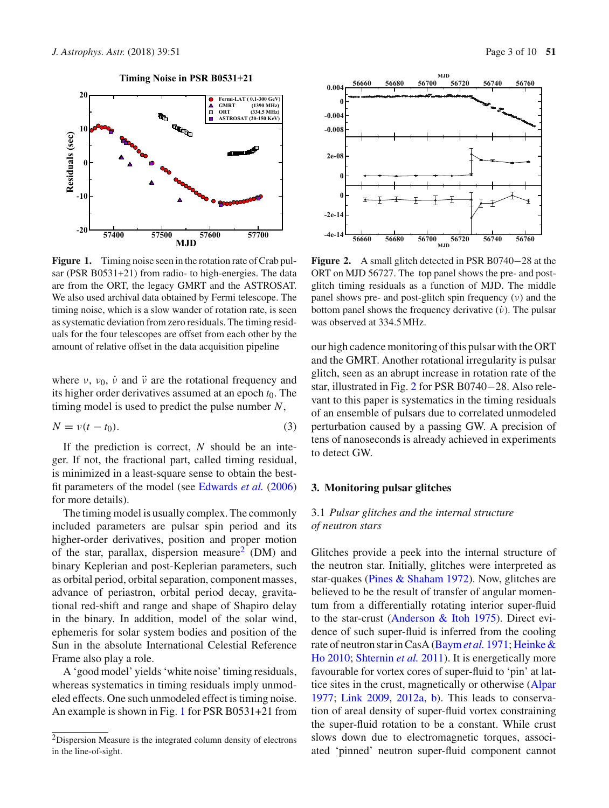

<span id="page-2-2"></span>**Figure 1.** Timing noise seen in the rotation rate of Crab pulsar (PSR B0531+21) from radio- to high-energies. The data are from the ORT, the legacy GMRT and the ASTROSAT. We also used archival data obtained by Fermi telescope. The timing noise, which is a slow wander of rotation rate, is seen as systematic deviation from zero residuals. The timing residuals for the four telescopes are offset from each other by the amount of relative offset in the data acquisition pipeline

where  $v$ ,  $v_0$ ,  $\dot{v}$  and  $\ddot{v}$  are the rotational frequency and its higher order derivatives assumed at an epoch  $t_0$ . The timing model is used to predict the pulse number *N*,

$$
N = \nu(t - t_0). \tag{3}
$$

If the prediction is correct, *N* should be an integer. If not, the fractional part, called timing residual, is minimized in a least-square sense to obtain the bestfit parameters of the model (see [Edwards](#page-8-18) *et al.* [\(2006\)](#page-8-18) for more details).

The timing model is usually complex. The commonly included parameters are pulsar spin period and its higher-order derivatives, position and proper motion of the star, parallax, dispersion measure<sup>[2](#page-2-1)</sup> (DM) and binary Keplerian and post-Keplerian parameters, such as orbital period, orbital separation, component masses, advance of periastron, orbital period decay, gravitational red-shift and range and shape of Shapiro delay in the binary. In addition, model of the solar wind, ephemeris for solar system bodies and position of the Sun in the absolute International Celestial Reference Frame also play a role.

A 'good model' yields 'white noise' timing residuals, whereas systematics in timing residuals imply unmodeled effects. One such unmodeled effect is timing noise. An example is shown in Fig. [1](#page-2-2) for PSR B0531+21 from



<span id="page-2-3"></span>**Figure 2.** A small glitch detected in PSR B0740−28 at the ORT on MJD 56727. The top panel shows the pre- and postglitch timing residuals as a function of MJD. The middle panel shows pre- and post-glitch spin frequency  $(v)$  and the bottom panel shows the frequency derivative  $(\dot{\nu})$ . The pulsar was observed at 334.5 MHz.

our high cadence monitoring of this pulsar with the ORT and the GMRT. Another rotational irregularity is pulsar glitch, seen as an abrupt increase in rotation rate of the star, illustrated in Fig. [2](#page-2-3) for PSR B0740−28. Also relevant to this paper is systematics in the timing residuals of an ensemble of pulsars due to correlated unmodeled perturbation caused by a passing GW. A precision of tens of nanoseconds is already achieved in experiments to detect GW.

#### <span id="page-2-0"></span>**3. Monitoring pulsar glitches**

# 3.1 *Pulsar glitches and the internal structure of neutron stars*

Glitches provide a peek into the internal structure of the neutron star. Initially, glitches were interpreted as star-quakes [\(Pines & Shaham 1972\)](#page-8-19). Now, glitches are believed to be the result of transfer of angular momentum from a differentially rotating interior super-fluid to the star-crust [\(Anderson & Itoh 1975](#page-8-20)). Direct evidence of such super-fluid is inferred from the cooling rat[e](#page-8-22) [of](#page-8-22) [neutron](#page-8-22) [star](#page-8-22) [in](#page-8-22) [CasA](#page-8-22) [\(Baym](#page-8-21)*et al.* [1971;](#page-8-21) Heinke & Ho [2010](#page-8-22); [Shternin](#page-8-23) *et al.* [2011](#page-8-23)). It is energetically more favourable for vortex cores of super-fluid to 'pin' at lattice sites in the crust, magnetically or otherwise [\(Alpar](#page-8-24) [1977](#page-8-24); [Link 2009,](#page-8-25) [2012a,](#page-8-26) [b](#page-8-27)). This leads to conservation of areal density of super-fluid vortex constraining the super-fluid rotation to be a constant. While crust slows down due to electromagnetic torques, associated 'pinned' neutron super-fluid component cannot

<span id="page-2-1"></span><sup>2</sup>Dispersion Measure is the integrated column density of electrons in the line-of-sight.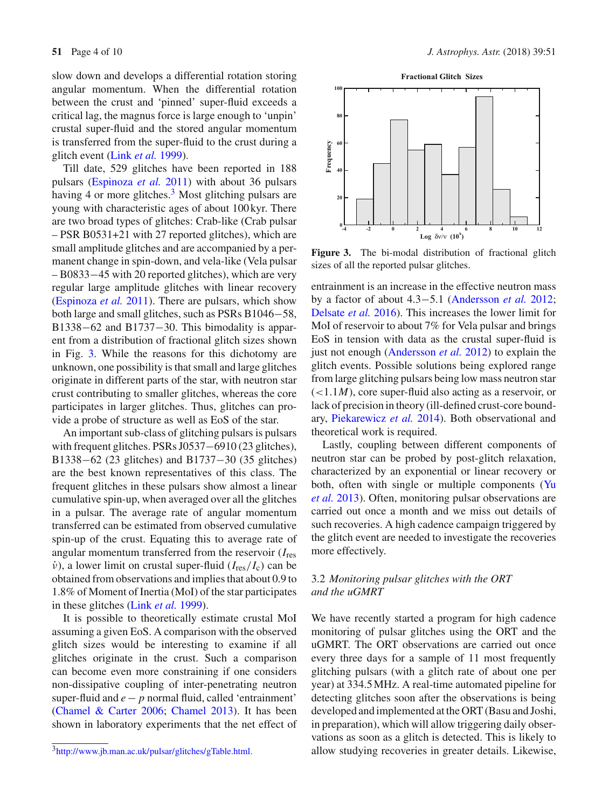slow down and develops a differential rotation storing angular momentum. When the differential rotation between the crust and 'pinned' super-fluid exceeds a critical lag, the magnus force is large enough to 'unpin' crustal super-fluid and the stored angular momentum is transferred from the super-fluid to the crust during a glitch event (Link *[et al.](#page-8-9)* [1999](#page-8-9)).

Till date, 529 glitches have been reported in 188 pulsars [\(Espinoza](#page-8-5) *et al.* [2011\)](#page-8-5) with about 36 pulsars having 4 or more glitches. $3$  Most glitching pulsars are young with characteristic ages of about 100 kyr. There are two broad types of glitches: Crab-like (Crab pulsar – PSR B0531+21 with 27 reported glitches), which are small amplitude glitches and are accompanied by a permanent change in spin-down, and vela-like (Vela pulsar – B0833−45 with 20 reported glitches), which are very regular large amplitude glitches with linear recovery [\(Espinoza](#page-8-5) *et al.* [2011](#page-8-5)). There are pulsars, which show both large and small glitches, such as PSRs B1046−58, B1338–62 and B1737–30. This bimodality is apparent from a distribution of fractional glitch sizes shown in Fig. [3.](#page-3-1) While the reasons for this dichotomy are unknown, one possibility is that small and large glitches originate in different parts of the star, with neutron star crust contributing to smaller glitches, whereas the core participates in larger glitches. Thus, glitches can provide a probe of structure as well as EoS of the star.

An important sub-class of glitching pulsars is pulsars with frequent glitches. PSRs J0537−6910 (23 glitches), B1338−62 (23 glitches) and B1737−30 (35 glitches) are the best known representatives of this class. The frequent glitches in these pulsars show almost a linear cumulative spin-up, when averaged over all the glitches in a pulsar. The average rate of angular momentum transferred can be estimated from observed cumulative spin-up of the crust. Equating this to average rate of angular momentum transferred from the reservoir (*I*res  $\dot{v}$ ), a lower limit on crustal super-fluid ( $I_{res}/I_c$ ) can be obtained from observations and implies that about 0.9 to 1.8% of Moment of Inertia (MoI) of the star participates in these glitches (Link *[et al.](#page-8-9)* [1999\)](#page-8-9).

It is possible to theoretically estimate crustal MoI assuming a given EoS. A comparison with the observed glitch sizes would be interesting to examine if all glitches originate in the crust. Such a comparison can become even more constraining if one considers non-dissipative coupling of inter-penetrating neutron super-fluid and *e*− *p* normal fluid, called 'entrainment' [\(Chamel & Carter 2006](#page-8-28); [Chamel 2013](#page-8-29)). It has been shown in laboratory experiments that the net effect of



<span id="page-3-1"></span>**Figure 3.** The bi-modal distribution of fractional glitch sizes of all the reported pulsar glitches.

entrainment is an increase in the effective neutron mass by a factor of about 4.3−5.1 [\(Andersson](#page-8-30) *et al.* [2012;](#page-8-30) [Delsate](#page-8-31) *et al.* [2016\)](#page-8-31). This increases the lower limit for MoI of reservoir to about 7% for Vela pulsar and brings EoS in tension with data as the crustal super-fluid is just not enough [\(Andersson](#page-8-30) *et al.* [2012\)](#page-8-30) to explain the glitch events. Possible solutions being explored range from large glitching pulsars being low mass neutron star  $(<1.1M)$ , core super-fluid also acting as a reservoir, or lack of precision in theory (ill-defined crust-core boundary, [Piekarewicz](#page-8-32) *et al.* [2014](#page-8-32)). Both observational and theoretical work is required.

Lastly, coupling between different components of neutron star can be probed by post-glitch relaxation, characterized by an exponential or linear recovery or both, [often](#page-9-0) [with](#page-9-0) [single](#page-9-0) [or](#page-9-0) [multiple](#page-9-0) [components](#page-9-0) [\(](#page-9-0)Yu *et al.* [2013](#page-9-0)). Often, monitoring pulsar observations are carried out once a month and we miss out details of such recoveries. A high cadence campaign triggered by the glitch event are needed to investigate the recoveries more effectively.

# 3.2 *Monitoring pulsar glitches with the ORT and the uGMRT*

We have recently started a program for high cadence monitoring of pulsar glitches using the ORT and the uGMRT. The ORT observations are carried out once every three days for a sample of 11 most frequently glitching pulsars (with a glitch rate of about one per year) at 334.5 MHz. A real-time automated pipeline for detecting glitches soon after the observations is being developed and implemented at the ORT (Basu and Joshi, in preparation), which will allow triggering daily observations as soon as a glitch is detected. This is likely to allow studying recoveries in greater details. Likewise,

<span id="page-3-0"></span>[<sup>3</sup>http://www.jb.man.ac.uk/pulsar/glitches/gTable.html.](http://www.jb.man.ac.uk/pulsar/glitches/gTable.html)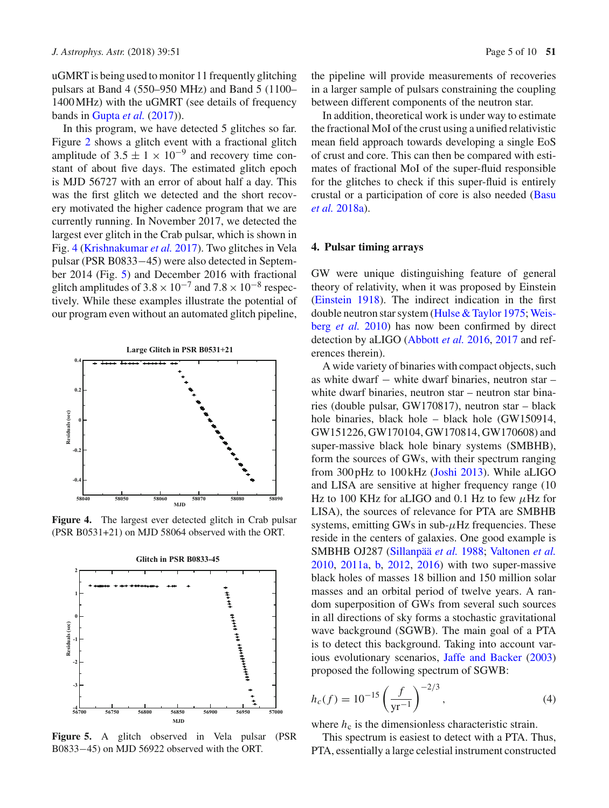uGMRT is being used to monitor 11 frequently glitching pulsars at Band 4 (550–950 MHz) and Band 5 (1100– 1400 MHz) with the uGMRT (see details of frequency bands in [Gupta](#page-8-17) *et al.* [\(2017](#page-8-17))).

In this program, we have detected 5 glitches so far. Figure [2](#page-2-3) shows a glitch event with a fractional glitch amplitude of  $3.5 \pm 1 \times 10^{-9}$  and recovery time constant of about five days. The estimated glitch epoch is MJD 56727 with an error of about half a day. This was the first glitch we detected and the short recovery motivated the higher cadence program that we are currently running. In November 2017, we detected the largest ever glitch in the Crab pulsar, which is shown in Fig. [4](#page-4-1) [\(Krishnakumar](#page-8-33) *et al.* [2017](#page-8-33)). Two glitches in Vela pulsar (PSR B0833−45) were also detected in September 2014 (Fig. [5\)](#page-4-2) and December 2016 with fractional glitch amplitudes of  $3.8 \times 10^{-7}$  and  $7.8 \times 10^{-8}$  respectively. While these examples illustrate the potential of our program even without an automated glitch pipeline,



**Figure 4.** The largest ever detected glitch in Crab pulsar (PSR B0531+21) on MJD 58064 observed with the ORT.

<span id="page-4-1"></span>

<span id="page-4-2"></span>**Figure 5.** A glitch observed in Vela pulsar (PSR B0833–45) on MJD 56922 observed with the ORT.

the pipeline will provide measurements of recoveries in a larger sample of pulsars constraining the coupling between different components of the neutron star.

In addition, theoretical work is under way to estimate the fractional MoI of the crust using a unified relativistic mean field approach towards developing a single EoS of crust and core. This can then be compared with estimates of fractional MoI of the super-fluid responsible for the glitches to check if this super-fluid is entirely crust[al](#page-8-34) [or](#page-8-34) [a](#page-8-34) [participation](#page-8-34) [of](#page-8-34) [core](#page-8-34) [is](#page-8-34) [also](#page-8-34) [needed](#page-8-34) [\(](#page-8-34)Basu *et al.* [2018a\)](#page-8-34).

#### <span id="page-4-0"></span>**4. Pulsar timing arrays**

GW were unique distinguishing feature of general theory of relativity, when it was proposed by Einstein [\(Einstein 1918](#page-8-35)). The indirect indication in the first double neu[tron](#page-9-5) [star](#page-9-5) [system](#page-9-5) [\(Hulse & Taylor 1975](#page-8-36)[;](#page-9-5) Weisberg *et al.* [2010\)](#page-9-5) has now been confirmed by direct detection by aLIGO [\(Abbott](#page-8-37) *et al.* [2016](#page-8-37), [2017](#page-8-38) and references therein).

A wide variety of binaries with compact objects, such as white dwarf − white dwarf binaries, neutron star – white dwarf binaries, neutron star – neutron star binaries (double pulsar, GW170817), neutron star – black hole binaries, black hole – black hole (GW150914, GW151226, GW170104, GW170814, GW170608) and super-massive black hole binary systems (SMBHB), form the sources of GWs, with their spectrum ranging from 300 pHz to 100 kHz [\(Joshi 2013\)](#page-8-14). While aLIGO and LISA are sensitive at higher frequency range (10 Hz to 100 KHz for aLIGO and 0.1 Hz to few  $\mu$ Hz for LISA), the sources of relevance for PTA are SMBHB systems, emitting GWs in sub- $\mu$ Hz frequencies. These reside in the centers of galaxies. One good example is SMBHB OJ287 [\(Sillanpää](#page-9-6) *et al.* [1988](#page-9-6); [Valtonen](#page-9-7) *et al.* [2010](#page-9-7), [2011a](#page-9-8), [b](#page-9-9), [2012](#page-9-10), [2016](#page-9-11)) with two super-massive black holes of masses 18 billion and 150 million solar masses and an orbital period of twelve years. A random superposition of GWs from several such sources in all directions of sky forms a stochastic gravitational wave background (SGWB). The main goal of a PTA is to detect this background. Taking into account various evolutionary scenarios, [Jaffe and Backer](#page-8-39) [\(2003](#page-8-39)) proposed the following spectrum of SGWB:

<span id="page-4-3"></span>
$$
h_c(f) = 10^{-15} \left(\frac{f}{\text{yr}^{-1}}\right)^{-2/3},\tag{4}
$$

where  $h_c$  is the dimensionless characteristic strain.

This spectrum is easiest to detect with a PTA. Thus, PTA, essentially a large celestial instrument constructed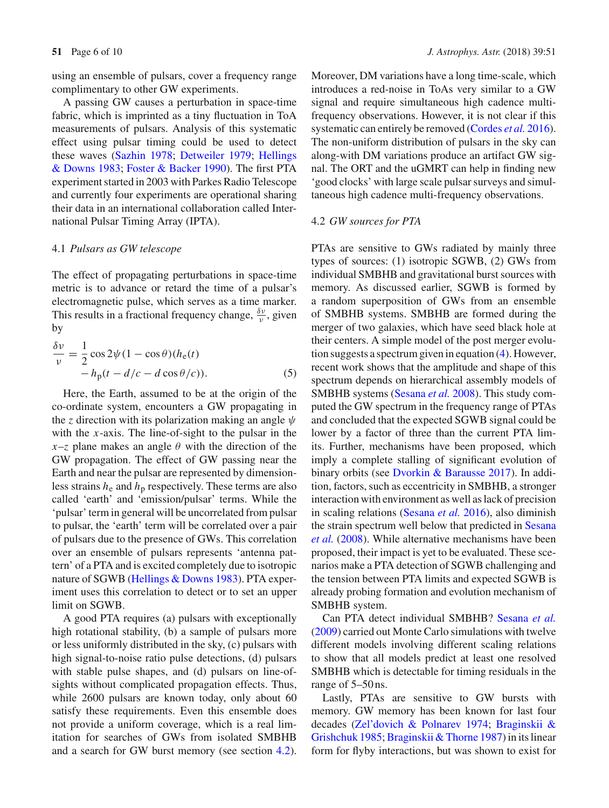using an ensemble of pulsars, cover a frequency range complimentary to other GW experiments.

A passing GW causes a perturbation in space-time fabric, which is imprinted as a tiny fluctuation in ToA measurements of pulsars. Analysis of this systematic effect using pulsar timing could be used to detect these wa[ves](#page-8-42) [\(Sazhin 1978](#page-8-40)[;](#page-8-42) [Detweiler 1979;](#page-8-41) Hellings & Downs [1983;](#page-8-42) [Foster & Backer 1990](#page-8-13)). The first PTA experiment started in 2003 with Parkes Radio Telescope and currently four experiments are operational sharing their data in an international collaboration called International Pulsar Timing Array (IPTA).

#### 4.1 *Pulsars as GW telescope*

The effect of propagating perturbations in space-time metric is to advance or retard the time of a pulsar's electromagnetic pulse, which serves as a time marker. This results in a fractional frequency change,  $\frac{\delta v}{v}$ , given by

$$
\frac{\delta v}{v} = \frac{1}{2} \cos 2\psi (1 - \cos \theta)(h_e(t))
$$
  
- h<sub>p</sub>(t - d/c - d cos θ/c)). (5)

Here, the Earth, assumed to be at the origin of the co-ordinate system, encounters a GW propagating in the *z* direction with its polarization making an angle  $\psi$ with the *x*-axis. The line-of-sight to the pulsar in the  $x-z$  plane makes an angle  $\theta$  with the direction of the GW propagation. The effect of GW passing near the Earth and near the pulsar are represented by dimensionless strains  $h_e$  and  $h_p$  respectively. These terms are also called 'earth' and 'emission/pulsar' terms. While the 'pulsar' term in general will be uncorrelated from pulsar to pulsar, the 'earth' term will be correlated over a pair of pulsars due to the presence of GWs. This correlation over an ensemble of pulsars represents 'antenna pattern' of a PTA and is excited completely due to isotropic nature of SGWB [\(Hellings & Downs 1983\)](#page-8-42). PTA experiment uses this correlation to detect or to set an upper limit on SGWB.

A good PTA requires (a) pulsars with exceptionally high rotational stability, (b) a sample of pulsars more or less uniformly distributed in the sky, (c) pulsars with high signal-to-noise ratio pulse detections, (d) pulsars with stable pulse shapes, and (d) pulsars on line-ofsights without complicated propagation effects. Thus, while 2600 pulsars are known today, only about 60 satisfy these requirements. Even this ensemble does not provide a uniform coverage, which is a real limitation for searches of GWs from isolated SMBHB and a search for GW burst memory (see section [4.2\)](#page-5-0).

Moreover, DM variations have a long time-scale, which introduces a red-noise in ToAs very similar to a GW signal and require simultaneous high cadence multifrequency observations. However, it is not clear if this systematic can entirely be removed [\(Cordes](#page-8-43) *et al.* [2016\)](#page-8-43). The non-uniform distribution of pulsars in the sky can along-with DM variations produce an artifact GW signal. The ORT and the uGMRT can help in finding new 'good clocks' with large scale pulsar surveys and simultaneous high cadence multi-frequency observations.

# <span id="page-5-0"></span>4.2 *GW sources for PTA*

PTAs are sensitive to GWs radiated by mainly three types of sources: (1) isotropic SGWB, (2) GWs from individual SMBHB and gravitational burst sources with memory. As discussed earlier, SGWB is formed by a random superposition of GWs from an ensemble of SMBHB systems. SMBHB are formed during the merger of two galaxies, which have seed black hole at their centers. A simple model of the post merger evolution suggests a spectrum given in equation [\(4\)](#page-4-3). However, recent work shows that the amplitude and shape of this spectrum depends on hierarchical assembly models of SMBHB systems [\(Sesana](#page-8-44) *et al.* [2008\)](#page-8-44). This study computed the GW spectrum in the frequency range of PTAs and concluded that the expected SGWB signal could be lower by a factor of three than the current PTA limits. Further, mechanisms have been proposed, which imply a complete stalling of significant evolution of binary orbits (see [Dvorkin & Barausse 2017\)](#page-8-45). In addition, factors, such as eccentricity in SMBHB, a stronger interaction with environment as well as lack of precision in scaling relations [\(Sesana](#page-8-46) *et al.* [2016](#page-8-46)), also diminish the s[train](#page-8-44) [spectrum](#page-8-44) [well](#page-8-44) [below](#page-8-44) [that](#page-8-44) [predicted](#page-8-44) [in](#page-8-44) Sesana *et al.* [\(2008](#page-8-44)). While alternative mechanisms have been proposed, their impact is yet to be evaluated. These scenarios make a PTA detection of SGWB challenging and the tension between PTA limits and expected SGWB is already probing formation and evolution mechanism of SMBHB system.

Can PTA detect individual SMBHB? [Sesana](#page-8-47) *et al.* [\(2009](#page-8-47)) carried out Monte Carlo simulations with twelve different models involving different scaling relations to show that all models predict at least one resolved SMBHB which is detectable for timing residuals in the range of 5–50 ns.

Lastly, PTAs are sensitive to GW bursts with memory. GW memory has been known for last four decades [\(Zel'dovich & Polnarev 1974;](#page-9-12) Braginskii & Grishchuk [1985;](#page-8-48)[Braginskii & Thorne 1987](#page-8-49)) in its linear form for flyby interactions, but was shown to exist for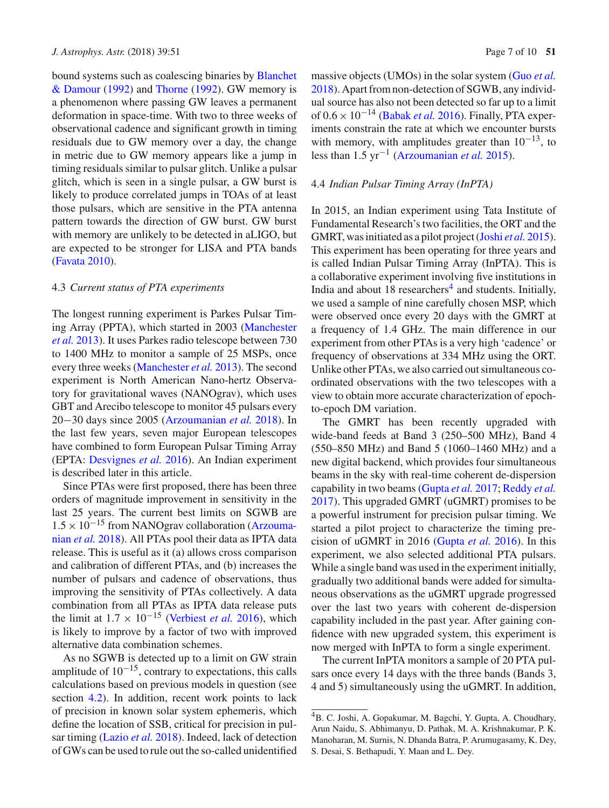bound syst[ems](#page-8-50) [such](#page-8-50) [as](#page-8-50) [coalescing](#page-8-50) [binaries](#page-8-50) [by](#page-8-50) Blanchet & Damour [\(1992\)](#page-8-50) and [Thorne](#page-9-13) [\(1992\)](#page-9-13). GW memory is a phenomenon where passing GW leaves a permanent deformation in space-time. With two to three weeks of observational cadence and significant growth in timing residuals due to GW memory over a day, the change in metric due to GW memory appears like a jump in timing residuals similar to pulsar glitch. Unlike a pulsar glitch, which is seen in a single pulsar, a GW burst is likely to produce correlated jumps in TOAs of at least those pulsars, which are sensitive in the PTA antenna pattern towards the direction of GW burst. GW burst with memory are unlikely to be detected in aLIGO, but are expected to be stronger for LISA and PTA bands [\(Favata 2010\)](#page-8-51).

#### 4.3 *Current status of PTA experiments*

The longest running experiment is Parkes Pulsar Timing [Array](#page-8-15) [\(PPTA\),](#page-8-15) [which](#page-8-15) [started](#page-8-15) [in](#page-8-15) [2003](#page-8-15) [\(](#page-8-15)Manchester *et al.* [2013\)](#page-8-15). It uses Parkes radio telescope between 730 to 1400 MHz to monitor a sample of 25 MSPs, once every three weeks [\(Manchester](#page-8-15) *et al.* [2013](#page-8-15)). The second experiment is North American Nano-hertz Observatory for gravitational waves (NANOgrav), which uses GBT and Arecibo telescope to monitor 45 pulsars every 20−30 days since 2005 [\(Arzoumanian](#page-8-52) *et al.* [2018\)](#page-8-52). In the last few years, seven major European telescopes have combined to form European Pulsar Timing Array (EPTA: [Desvignes](#page-8-53) *et al.* [2016\)](#page-8-53). An Indian experiment is described later in this article.

Since PTAs were first proposed, there has been three orders of magnitude improvement in sensitivity in the last 25 years. The current best limits on SGWB are  $1.5 \times 10^{-15}$  [from](#page-8-52) [NANOgrav](#page-8-52) [collaboration](#page-8-52) [\(](#page-8-52)Arzoumanian *et al.* [2018](#page-8-52)). All PTAs pool their data as IPTA data release. This is useful as it (a) allows cross comparison and calibration of different PTAs, and (b) increases the number of pulsars and cadence of observations, thus improving the sensitivity of PTAs collectively. A data combination from all PTAs as IPTA data release puts the limit at  $1.7 \times 10^{-15}$  [\(Verbiest](#page-9-14) *et al.* [2016\)](#page-9-14), which is likely to improve by a factor of two with improved alternative data combination schemes.

As no SGWB is detected up to a limit on GW strain amplitude of  $10^{-15}$ , contrary to expectations, this calls calculations based on previous models in question (see section [4.2\)](#page-5-0). In addition, recent work points to lack of precision in known solar system ephemeris, which define the location of SSB, critical for precision in pulsar timing [\(Lazio](#page-8-54) *et al.* [2018](#page-8-54)). Indeed, lack of detection of GWs can be used to rule out the so-called unidentified massive objects (UMOs) in the solar system (Guo *[et al.](#page-8-55)* [2018](#page-8-55)). Apart from non-detection of SGWB, any individual source has also not been detected so far up to a limit of 0.6×10−<sup>14</sup> [\(Babak](#page-8-56) *et al.* [2016](#page-8-56)). Finally, PTA experiments constrain the rate at which we encounter bursts with memory, with amplitudes greater than  $10^{-13}$ , to less than 1.5 yr−<sup>1</sup> [\(Arzoumanian](#page-8-57) *et al.* [2015](#page-8-57)).

# 4.4 *Indian Pulsar Timing Array (InPTA)*

In 2015, an Indian experiment using Tata Institute of Fundamental Research's two facilities, the ORT and the GMRT, was initiated as a pilot project [\(Joshi](#page-8-58) *et al.* [2015\)](#page-8-58). This experiment has been operating for three years and is called Indian Pulsar Timing Array (InPTA). This is a collaborative experiment involving five institutions in India and about  $18$  researchers<sup>4</sup> and students. Initially, we used a sample of nine carefully chosen MSP, which were observed once every 20 days with the GMRT at a frequency of 1.4 GHz. The main difference in our experiment from other PTAs is a very high 'cadence' or frequency of observations at 334 MHz using the ORT. Unlike other PTAs, we also carried out simultaneous coordinated observations with the two telescopes with a view to obtain more accurate characterization of epochto-epoch DM variation.

The GMRT has been recently upgraded with wide-band feeds at Band 3 (250–500 MHz), Band 4 (550–850 MHz) and Band 5 (1060–1460 MHz) and a new digital backend, which provides four simultaneous beams in the sky with real-time coherent de-dispersion capability in two beams [\(Gupta](#page-8-17) *et al.* [2017;](#page-8-17) [Reddy](#page-8-59) *et al.* [2017](#page-8-59)). This upgraded GMRT (uGMRT) promises to be a powerful instrument for precision pulsar timing. We started a pilot project to characterize the timing precision of uGMRT in 2016 [\(Gupta](#page-8-60) *et al.* [2016\)](#page-8-60). In this experiment, we also selected additional PTA pulsars. While a single band was used in the experiment initially, gradually two additional bands were added for simultaneous observations as the uGMRT upgrade progressed over the last two years with coherent de-dispersion capability included in the past year. After gaining confidence with new upgraded system, this experiment is now merged with InPTA to form a single experiment.

The current InPTA monitors a sample of 20 PTA pulsars once every 14 days with the three bands (Bands 3, 4 and 5) simultaneously using the uGMRT. In addition,

<span id="page-6-0"></span><sup>4</sup>B. C. Joshi, A. Gopakumar, M. Bagchi, Y. Gupta, A. Choudhary, Arun Naidu, S. Abhimanyu, D. Pathak, M. A. Krishnakumar, P. K. Manoharan, M. Surnis, N. Dhanda Batra, P. Arumugasamy, K. Dey, S. Desai, S. Bethapudi, Y. Maan and L. Dey.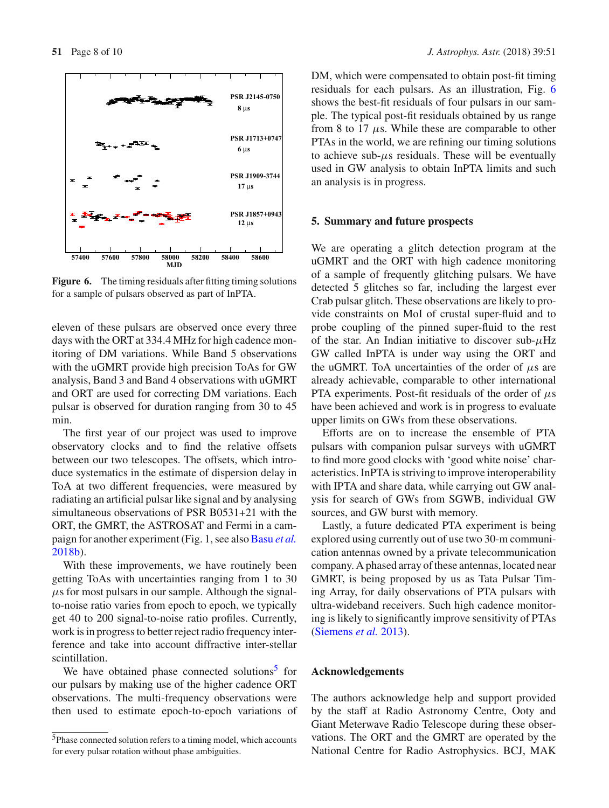

<span id="page-7-1"></span>**Figure 6.** The timing residuals after fitting timing solutions for a sample of pulsars observed as part of InPTA.

eleven of these pulsars are observed once every three days with the ORT at 334.4 MHz for high cadence monitoring of DM variations. While Band 5 observations with the uGMRT provide high precision ToAs for GW analysis, Band 3 and Band 4 observations with uGMRT and ORT are used for correcting DM variations. Each pulsar is observed for duration ranging from 30 to 45 min.

The first year of our project was used to improve observatory clocks and to find the relative offsets between our two telescopes. The offsets, which introduce systematics in the estimate of dispersion delay in ToA at two different frequencies, were measured by radiating an artificial pulsar like signal and by analysing simultaneous observations of PSR B0531+21 with the ORT, the GMRT, the ASTROSAT and Fermi in a campaign for another experiment (Fig. 1, see also [Basu](#page-8-61) *et al.* [2018b](#page-8-61)).

With these improvements, we have routinely been getting ToAs with uncertainties ranging from 1 to 30  $\mu$ s for most pulsars in our sample. Although the signalto-noise ratio varies from epoch to epoch, we typically get 40 to 200 signal-to-noise ratio profiles. Currently, work is in progress to better reject radio frequency interference and take into account diffractive inter-stellar scintillation.

We have obtained phase connected solutions $5$  for our pulsars by making use of the higher cadence ORT observations. The multi-frequency observations were then used to estimate epoch-to-epoch variations of DM, which were compensated to obtain post-fit timing residuals for each pulsars. As an illustration, Fig. [6](#page-7-1) shows the best-fit residuals of four pulsars in our sample. The typical post-fit residuals obtained by us range from 8 to 17  $\mu$ s. While these are comparable to other PTAs in the world, we are refining our timing solutions to achieve sub- $\mu$ s residuals. These will be eventually used in GW analysis to obtain InPTA limits and such an analysis is in progress.

#### **5. Summary and future prospects**

We are operating a glitch detection program at the uGMRT and the ORT with high cadence monitoring of a sample of frequently glitching pulsars. We have detected 5 glitches so far, including the largest ever Crab pulsar glitch. These observations are likely to provide constraints on MoI of crustal super-fluid and to probe coupling of the pinned super-fluid to the rest of the star. An Indian initiative to discover sub- $\mu$ Hz GW called InPTA is under way using the ORT and the uGMRT. ToA uncertainties of the order of  $\mu$ s are already achievable, comparable to other international PTA experiments. Post-fit residuals of the order of  $\mu$ s have been achieved and work is in progress to evaluate upper limits on GWs from these observations.

Efforts are on to increase the ensemble of PTA pulsars with companion pulsar surveys with uGMRT to find more good clocks with 'good white noise' characteristics. InPTA is striving to improve interoperability with IPTA and share data, while carrying out GW analysis for search of GWs from SGWB, individual GW sources, and GW burst with memory.

Lastly, a future dedicated PTA experiment is being explored using currently out of use two 30-m communication antennas owned by a private telecommunication company. A phased array of these antennas, located near GMRT, is being proposed by us as Tata Pulsar Timing Array, for daily observations of PTA pulsars with ultra-wideband receivers. Such high cadence monitoring is likely to significantly improve sensitivity of PTAs [\(Siemens](#page-9-15) *et al.* [2013\)](#page-9-15).

# **Acknowledgements**

The authors acknowledge help and support provided by the staff at Radio Astronomy Centre, Ooty and Giant Meterwave Radio Telescope during these observations. The ORT and the GMRT are operated by the National Centre for Radio Astrophysics. BCJ, MAK

<span id="page-7-0"></span><sup>5</sup>Phase connected solution refers to a timing model, which accounts for every pulsar rotation without phase ambiguities.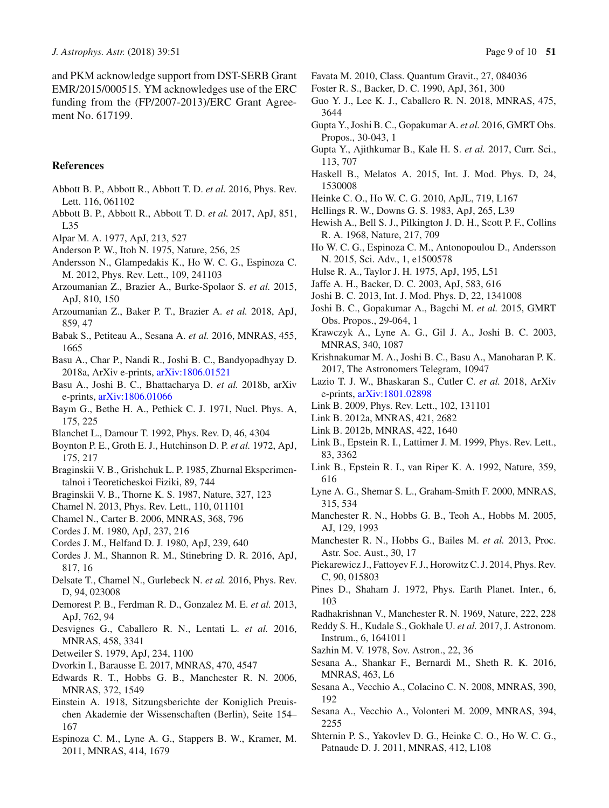and PKM acknowledge support from DST-SERB Grant EMR/2015/000515. YM acknowledges use of the ERC funding from the (FP/2007-2013)/ERC Grant Agreement No. 617199.

### **References**

- <span id="page-8-37"></span>Abbott B. P., Abbott R., Abbott T. D. *et al.* 2016, Phys. Rev. Lett. 116, 061102
- <span id="page-8-38"></span>Abbott B. P., Abbott R., Abbott T. D. *et al.* 2017, ApJ, 851, L35
- <span id="page-8-24"></span>Alpar M. A. 1977, ApJ, 213, 527
- <span id="page-8-20"></span>Anderson P. W., Itoh N. 1975, Nature, 256, 25
- <span id="page-8-30"></span>Andersson N., Glampedakis K., Ho W. C. G., Espinoza C. M. 2012, Phys. Rev. Lett., 109, 241103
- <span id="page-8-57"></span>Arzoumanian Z., Brazier A., Burke-Spolaor S. *et al.* 2015, ApJ, 810, 150
- <span id="page-8-52"></span>Arzoumanian Z., Baker P. T., Brazier A. *et al.* 2018, ApJ, 859, 47
- <span id="page-8-56"></span>Babak S., Petiteau A., Sesana A. *et al.* 2016, MNRAS, 455, 1665
- <span id="page-8-34"></span>Basu A., Char P., Nandi R., Joshi B. C., Bandyopadhyay D. 2018a, ArXiv e-prints, [arXiv:1806.01521](http://arxiv.org/abs/1806.01521)
- <span id="page-8-61"></span>Basu A., Joshi B. C., Bhattacharya D. *et al.* 2018b, arXiv e-prints, [arXiv:1806.01066](http://arxiv.org/abs/1806.01066)
- <span id="page-8-21"></span>Baym G., Bethe H. A., Pethick C. J. 1971, Nucl. Phys. A, 175, 225
- <span id="page-8-50"></span>Blanchet L., Damour T. 1992, Phys. Rev. D, 46, 4304
- <span id="page-8-6"></span>Boynton P. E., Groth E. J., Hutchinson D. P. *et al.* 1972, ApJ, 175, 217
- <span id="page-8-48"></span>Braginskii V. B., Grishchuk L. P. 1985, Zhurnal Eksperimentalnoi i Teoreticheskoi Fiziki, 89, 744
- <span id="page-8-49"></span>Braginskii V. B., Thorne K. S. 1987, Nature, 327, 123
- <span id="page-8-29"></span>Chamel N. 2013, Phys. Rev. Lett., 110, 011101
- <span id="page-8-28"></span>Chamel N., Carter B. 2006, MNRAS, 368, 796
- <span id="page-8-7"></span>Cordes J. M. 1980, ApJ, 237, 216
- <span id="page-8-8"></span>Cordes J. M., Helfand D. J. 1980, ApJ, 239, 640
- <span id="page-8-43"></span>Cordes J. M., Shannon R. M., Stinebring D. R. 2016, ApJ, 817, 16
- <span id="page-8-31"></span>Delsate T., Chamel N., Gurlebeck N. *et al.* 2016, Phys. Rev. D, 94, 023008
- <span id="page-8-16"></span>Demorest P. B., Ferdman R. D., Gonzalez M. E. *et al.* 2013, ApJ, 762, 94
- <span id="page-8-53"></span>Desvignes G., Caballero R. N., Lentati L. *et al.* 2016, MNRAS, 458, 3341
- <span id="page-8-41"></span>Detweiler S. 1979, ApJ, 234, 1100
- <span id="page-8-45"></span>Dvorkin I., Barausse E. 2017, MNRAS, 470, 4547
- <span id="page-8-18"></span>Edwards R. T., Hobbs G. B., Manchester R. N. 2006, MNRAS, 372, 1549
- <span id="page-8-35"></span>Einstein A. 1918, Sitzungsberichte der Koniglich Preuischen Akademie der Wissenschaften (Berlin), Seite 154– 167
- <span id="page-8-5"></span>Espinoza C. M., Lyne A. G., Stappers B. W., Kramer, M. 2011, MNRAS, 414, 1679
- <span id="page-8-51"></span>Favata M. 2010, Class. Quantum Gravit., 27, 084036
- <span id="page-8-13"></span>Foster R. S., Backer, D. C. 1990, ApJ, 361, 300
- <span id="page-8-55"></span>Guo Y. J., Lee K. J., Caballero R. N. 2018, MNRAS, 475, 3644
- <span id="page-8-60"></span>Gupta Y., Joshi B. C., Gopakumar A. *et al.* 2016, GMRT Obs. Propos., 30-043, 1
- <span id="page-8-17"></span>Gupta Y., Ajithkumar B., Kale H. S. *et al.* 2017, Curr. Sci., 113, 707
- <span id="page-8-11"></span>Haskell B., Melatos A. 2015, Int. J. Mod. Phys. D, 24, 1530008
- <span id="page-8-22"></span>Heinke C. O., Ho W. C. G. 2010, ApJL, 719, L167
- <span id="page-8-42"></span>Hellings R. W., Downs G. S. 1983, ApJ, 265, L39
- <span id="page-8-0"></span>Hewish A., Bell S. J., Pilkington J. D. H., Scott P. F., Collins R. A. 1968, Nature, 217, 709
- <span id="page-8-12"></span>Ho W. C. G., Espinoza C. M., Antonopoulou D., Andersson N. 2015, Sci. Adv., 1, e1500578
- <span id="page-8-36"></span>Hulse R. A., Taylor J. H. 1975, ApJ, 195, L51
- <span id="page-8-39"></span>Jaffe A. H., Backer, D. C. 2003, ApJ, 583, 616
- <span id="page-8-14"></span>Joshi B. C. 2013, Int. J. Mod. Phys. D, 22, 1341008
- <span id="page-8-58"></span>Joshi B. C., Gopakumar A., Bagchi M. *et al.* 2015, GMRT Obs. Propos., 29-064, 1
- <span id="page-8-4"></span>Krawczyk A., Lyne A. G., Gil J. A., Joshi B. C. 2003, MNRAS, 340, 1087
- <span id="page-8-33"></span>Krishnakumar M. A., Joshi B. C., Basu A., Manoharan P. K. 2017, The Astronomers Telegram, 10947
- <span id="page-8-54"></span>Lazio T. J. W., Bhaskaran S., Cutler C. *et al.* 2018, ArXiv e-prints, [arXiv:1801.02898](http://arxiv.org/abs/1801.02898)
- <span id="page-8-25"></span>Link B. 2009, Phys. Rev. Lett., 102, 131101
- <span id="page-8-26"></span>Link B. 2012a, MNRAS, 421, 2682
- <span id="page-8-27"></span>Link B. 2012b, MNRAS, 422, 1640
- <span id="page-8-9"></span>Link B., Epstein R. I., Lattimer J. M. 1999, Phys. Rev. Lett., 83, 3362
- <span id="page-8-10"></span>Link B., Epstein R. I., van Riper K. A. 1992, Nature, 359, 616
- <span id="page-8-3"></span>Lyne A. G., Shemar S. L., Graham-Smith F. 2000, MNRAS, 315, 534
- <span id="page-8-1"></span>Manchester R. N., Hobbs G. B., Teoh A., Hobbs M. 2005, AJ, 129, 1993
- <span id="page-8-15"></span>Manchester R. N., Hobbs G., Bailes M. *et al.* 2013, Proc. Astr. Soc. Aust., 30, 17
- <span id="page-8-32"></span>Piekarewicz J., Fattoyev F. J., Horowitz C. J. 2014, Phys. Rev. C, 90, 015803
- <span id="page-8-19"></span>Pines D., Shaham J. 1972, Phys. Earth Planet. Inter., 6, 103
- <span id="page-8-2"></span>Radhakrishnan V., Manchester R. N. 1969, Nature, 222, 228
- <span id="page-8-59"></span>Reddy S. H., Kudale S., Gokhale U. *et al.* 2017, J. Astronom. Instrum., 6, 1641011
- <span id="page-8-40"></span>Sazhin M. V. 1978, Sov. Astron., 22, 36
- <span id="page-8-46"></span>Sesana A., Shankar F., Bernardi M., Sheth R. K. 2016, MNRAS, 463, L6
- <span id="page-8-44"></span>Sesana A., Vecchio A., Colacino C. N. 2008, MNRAS, 390, 192
- <span id="page-8-47"></span>Sesana A., Vecchio A., Volonteri M. 2009, MNRAS, 394, 2255
- <span id="page-8-23"></span>Shternin P. S., Yakovlev D. G., Heinke C. O., Ho W. C. G., Patnaude D. J. 2011, MNRAS, 412, L108